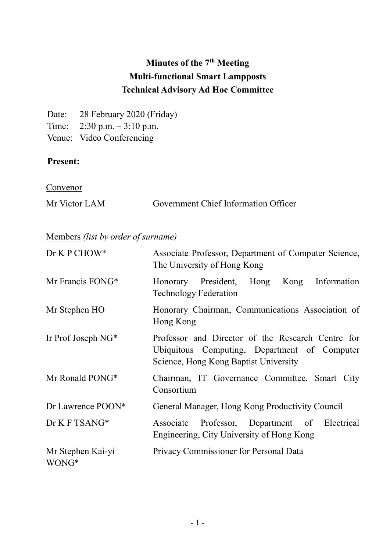# Minutes of the 7<sup>th</sup> Meeting Multi-functional Smart Lampposts Technical Advisory Ad Hoc Committee

Date: 28 February 2020 (Friday) Time: 2:30 p.m. – 3:10 p.m.

Venue: Video Conferencing

### Present:

**Convenor** 

| Mr Victor LAM | <b>Government Chief Information Officer</b> |  |
|---------------|---------------------------------------------|--|
|               |                                             |  |

## Members (list by order of surname)

| Dr K P CHOW*               | Associate Professor, Department of Computer Science,<br>The University of Hong Kong                                                        |
|----------------------------|--------------------------------------------------------------------------------------------------------------------------------------------|
| Mr Francis FONG*           | Honorary President,<br>Information<br>Hong<br>Kong<br><b>Technology Federation</b>                                                         |
| Mr Stephen HO              | Honorary Chairman, Communications Association of<br>Hong Kong                                                                              |
| Ir Prof Joseph $NG^*$      | Professor and Director of the Research Centre for<br>Ubiquitous Computing, Department of Computer<br>Science, Hong Kong Baptist University |
| Mr Ronald PONG*            | Chairman, IT Governance Committee, Smart City<br>Consortium                                                                                |
| Dr Lawrence POON*          | General Manager, Hong Kong Productivity Council                                                                                            |
| Dr K F TSANG*              | Associate Professor, Department of Electrical<br>Engineering, City University of Hong Kong                                                 |
| Mr Stephen Kai-yi<br>WONG* | Privacy Commissioner for Personal Data                                                                                                     |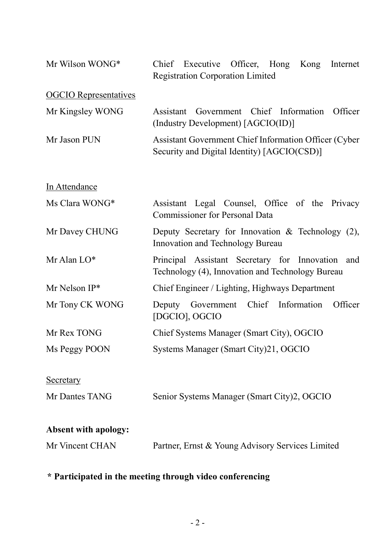| Mr Wilson WONG*              | Executive Officer, Hong<br>Chief<br>Kong<br>Internet<br><b>Registration Corporation Limited</b>      |
|------------------------------|------------------------------------------------------------------------------------------------------|
| <b>OGCIO</b> Representatives |                                                                                                      |
| Mr Kingsley WONG             | Assistant Government Chief Information<br>Officer<br>(Industry Development) [AGCIO(ID)]              |
| Mr Jason PUN                 | Assistant Government Chief Information Officer (Cyber<br>Security and Digital Identity) [AGCIO(CSD)] |
| In Attendance                |                                                                                                      |
| Ms Clara WONG*               | Assistant Legal Counsel, Office of the Privacy<br><b>Commissioner for Personal Data</b>              |
| Mr Davey CHUNG               | Deputy Secretary for Innovation & Technology $(2)$ ,<br>Innovation and Technology Bureau             |
| Mr Alan LO*                  | Principal Assistant Secretary for Innovation and<br>Technology (4), Innovation and Technology Bureau |
| Mr Nelson $IP^*$             | Chief Engineer / Lighting, Highways Department                                                       |
| Mr Tony CK WONG              | Deputy Government Chief Information<br>Officer<br>[DGCIO], OGCIO                                     |
| Mr Rex TONG                  | Chief Systems Manager (Smart City), OGCIO                                                            |
| Ms Peggy POON                | Systems Manager (Smart City)21, OGCIO                                                                |
| <b>Secretary</b>             |                                                                                                      |
| Mr Dantes TANG               | Senior Systems Manager (Smart City)2, OGCIO                                                          |
| <b>Absent with apology:</b>  |                                                                                                      |
| Mr Vincent CHAN              | Partner, Ernst & Young Advisory Services Limited                                                     |

#### \* Participated in the meeting through video conferencing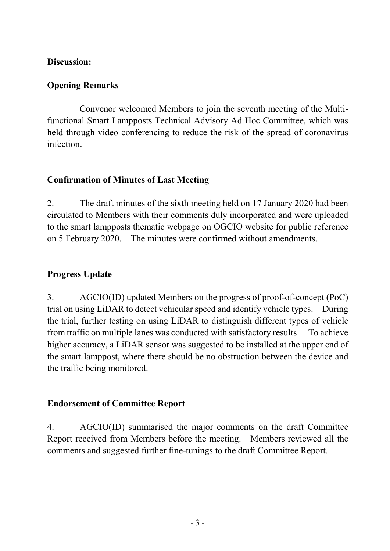#### Discussion:

#### Opening Remarks

 Convenor welcomed Members to join the seventh meeting of the Multi- functional Smart Lampposts Technical Advisory Ad Hoc Committee, which was held through video conferencing to reduce the risk of the spread of coronavirus infection.

### Confirmation of Minutes of Last Meeting

 2. The draft minutes of the sixth meeting held on 17 January 2020 had been circulated to Members with their comments duly incorporated and were uploaded to the smart lampposts thematic webpage on OGCIO website for public reference on 5 February 2020. The minutes were confirmed without amendments.

### Progress Update

 3. AGCIO(ID) updated Members on the progress of proof-of-concept (PoC) trial on using LiDAR to detect vehicular speed and identify vehicle types. During the trial, further testing on using LiDAR to distinguish different types of vehicle from traffic on multiple lanes was conducted with satisfactory results. To achieve higher accuracy, a LiDAR sensor was suggested to be installed at the upper end of the traffic being monitored. the smart lamppost, where there should be no obstruction between the device and

#### Endorsement of Committee Report

 4. AGCIO(ID) summarised the major comments on the draft Committee Report received from Members before the meeting. Members reviewed all the comments and suggested further fine-tunings to the draft Committee Report.